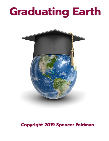# **Graduating Earth**



# **Copyright 2019 Spencer Feldman**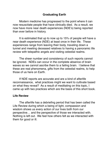# **Graduating Earth**

Modern medicine has progressed to the point where it can now resuscitate people that have clinically died. As a result, we now have more near death experiences (NDE's) being reported than ever before in history.

It is estimated that up to now up to 15% of people will have a near death experience (NDE) at least once in their life. These experiences range from leaving their body, traveling down a tunnel and meeting deceased relatives to having a panoramic life review with telepathic angels and visiting celestial realms.

The sheer number and consistency of such reports cannot be ignored. NDEs can occur in the complete absence of brain waves so we cannot ascribe them to a failing brain. I believe that these are real phenomena, gifts from the celestial realms, to help those of us here on Earth.

If NDE reports are accurate and are a kind of afterlife reconnaissance, what practices might we want to cultivate based on what they reveal? As a result of meditating on this topic, I came up with two practices which are the basis of this short book.

#### **Life Review**

The afterlife has a debriefing period that has been called the Life Review during which a being of light, compassion and wisdom shows us every action of our lives both from our perspective… and the perspective of those we interacted with. Nothing is left out. We feel how others felt as we interacted with them for good or ill.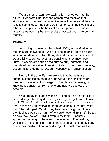We are then shown how each action rippled out into the future. If we were kind, then the person who received that kindness could be seen radiating kindness to others and the chain reaction continued. The same was true for sufferings we caused others. This gives us the basis of our first practice. Choose wisely, remembering that the results of our actions ripple out into eternity.

# **Telepathy**

According to those that have had NDEs, in the afterlife our thoughts are known to all. We are all telepathic. Here on earth, we can entertain unevolved thoughts and no one is the wiser. If we are lying to someone but are convincing, they may never know. If we are gracious on the outside but judgmental and prejudiced on the inside, it remains hidden. If we speak one way, but our actions do not follow, our hypocrisy can remain a secret.

Not so in the afterlife. We are told that thoughts are communicated instantaneously and without the limitations or miscommunications of language. In the place of speaking, a knowing is transferred from one to another. No secrets are possible.

Was I ready for such a world? To find out, as an exercise, I decided to go about my day acting as if my thoughts were known to all. When I first did this it was a shock to me. I was in a store and I passed by an overweight tattooed couple. I thought 'white trash' then stopped. What if they heard my thoughts? Surely their feelings would be hurt. Why would I even think that? Based on how they looked? I didn't even know them. I mentally apologized for judging them and continued on. The next day I was in line at the checkout stand and looked at the shapely body of a female cashier. I had a mild surge of testosterone as I saw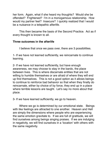her form. Again, what if she heard my thoughts? Would she be offended? Frightened? I'm in a monogamous relationship. How would my partner feel? Insecure? I quickly realized that I would be a nuisance in a telepathic afterlife.

This then became the basis of the Second Practice. Act as if every thought is known to all.

## **Three outcomes in the afterlife**

I believe that once we pass over, there are 3 possibilities.

1- If we have not learned sufficiently, we reincarnate to continue learning.

2- If we have not learned sufficiently, but have enough awareness, we may choose to stay in the bardo, the place between lives. This is where discarnate entities that are not willing to humble themselves or are afraid of where they will end up find themselves. This is not a good option as it allows beings to continue to reinforce bad behavior so that when they finally do reincarnate, either by choice of by force, they end up in a place where terrible lessons are taught. Let's say no more about that place.

3- If we have learned sufficiently, we go to heaven.

Where we go is determined by our emotional state. Beings with like feelings are attracted to one another. Heaven and Hell are simply the dimensions where people who are experiencing the same emotion gravitate to. If we are full of gratitude, we will find ourselves among beings singing praises. If we are indulging in negativity, we will find ourselves in a 'location' with others with the same negativity.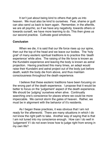It isn't just about being kind to others that gets us into heaven. We must also be kind to ourselves. Fear, shame or guilt can also send us back to learn again. Remember, in the afterlife, we are all psychic, so if we have any negativity, towards others or towards ourself, we have more learning to do. This then gives us our second practice. Cultivate good emotions.

#### **Conclusion**

When we die, it is said that our life force rises up our spine, then out the top of the head and we leave our bodies. The 'holy grail' of many esoteric spiritual traditions is to practice this 'death experience' while alive. The raising of the life force is known as the Kundalini experience and leaving the body is known as astral projection. Having practiced this many times, an adept would raise their Kundalini and astral project out of the body just before death, watch the body die from above, and thus maintain consciousness throughout the death experience.

I believe that these esoteric traditions have been focusing on the wrong part of the death experience. I propose that it would be better to focus on the 'judgement' aspect of the death experience. We should be 'judging' ourselves when alive. Continually searching one's conscience for places where we could be more impeccable. We cannot storm the gates of heaven. Rather, we must be in alignment with the behavior of it's residents.

As I began these practices, it was obvious that I am not ready for the afterworld. There are many situations in which I do not know the right path to take. Another way of saying that is that I am not tuned into my conscience enough. How can I do well in 'judgement' if I do not even know how to judge right from wrong in my own life?